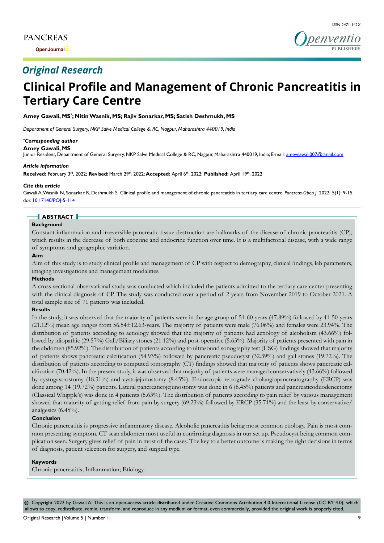**Open Journal**



# *Original Research*

# **Clinical Profile and Management of Chronic Pancreatitis in Tertiary Care Centre**

#### **Amey Gawali, MS\* ; Nitin Wasnik, MS; Rajiv Sonarkar, MS; Satish Deshmukh, MS**

*Department of General Surgery, NKP Salve Medical College & RC, Nagpur, Maharashtra 440019, India*

#### *\* Corresponding author*

**Amey Gawali, MS**

Junior Resident, Department of General Surgery, NKP Salve Medical College & RC, Nagpur, Maharashtra 440019, India; E-mail: ameygawali007@gmail.com

#### *Article information*

**Received:** February 3rd, 2022; **Revised:** March 29th, 2022; **Accepted:** April 6th, 2022; **Published:** April 19th, 2022

#### *Cite this article*

Gawali A, Wasnik N, Sonarkar R, Deshmukh S. Clinical profile and management of chronic pancreatitis in tertiary care centre. *Pancreas Open J*. 2022; 5(1): 9-15. doi: [10.17140/POJ-5-114](http://dx.doi.org/10.17140/POJ-5-114)

# **ABSTRACT**

#### **Background**

Constant inflammation and irreversible pancreatic tissue destruction are hallmarks of the disease of chronic pancreatitis (CP), which results in the decrease of both exocrine and endocrine function over time. It is a multifactorial disease, with a wide range of symptoms and geographic variation.

#### **Aim**

Aim of this study is to study clinical profile and management of CP with respect to demography, clinical findings, lab parameters, imaging investigations and management modalities.

#### **Methods**

A cross-sectional observational study was conducted which included the patients admitted to the tertiary care center presenting with the clinical diagnosis of CP. The study was conducted over a period of 2-years from November 2019 to October 2021. A total sample size of 71 patients was included.

#### **Results**

In the study, it was observed that the majority of patients were in the age group of 51-60-years (47.89%) followed by 41-50-years (21.12%) mean age ranges from 56.54±12.63-years. The majority of patients were male (76.06%) and females were 23.94%. The distribution of patients according to aetiology showed that the majority of patients had aetiology of alcoholism (43.66%) followed by idiopathic (29.57%) Gall/Biliary stones (21.12%) and post-operative (5.63%). Majority of patients presented with pain in the abdomen (85.92%). The distribution of patients according to ultrasound sonography test (USG) findings showed that majority of patients shows pancreatic calcification (54.93%) followed by pancreatic pseudocyst (32.39%) and gall stones (19.72%). The distribution of patients according to computed tomography (CT) findings showed that majority of patients shows pancreatic calcification (70.42%). In the present study, it was observed that majority of patients were managed conservatively (43.66%) followed by cystogastrostomy (18.31%) and cystojejunostomy (8.45%). Endoscopic retrograde cholangiopancreatography (ERCP) was done among 14 (19.72%) patients. Lateral pancreaticojejunostomy was done in 6 (8.45%) patients and pancreaticoduodenectomy (Classical Whipple's) was done in 4 patients (5.63%). The distribution of patients according to pain relief by various management showed that majority of getting relief from pain by surgery (69.23%) followed by ERCP (35.71%) and the least by conservative/ analgesics (6.45%).

#### **Conclusion**

Chronic pancreatitis is progressive inflammatory disease. Alcoholic pancreatitis being most common etiology. Pain is most common presenting symptom. CT scan abdomen most useful in confirming diagnosis in our set up. Pseudocyst being common complication seen. Surgery gives relief of pain in most of the cases. The key to a better outcome is making the right decisions in terms of diagnosis, patient selection for surgery, and surgical type.

#### **Keywords**

Chronic pancreatitis; Inflammation; Etiology.

 $\circledcirc$  Copyright 2022 by Gawali A. This is an open-access article distributed under Creative Commons Attribution 4.0 International License (CC BY 4.0), which allows to copy, redistribute, remix, transform, and reproduce in any medium or format, even commercially, provided the original work is properly cited.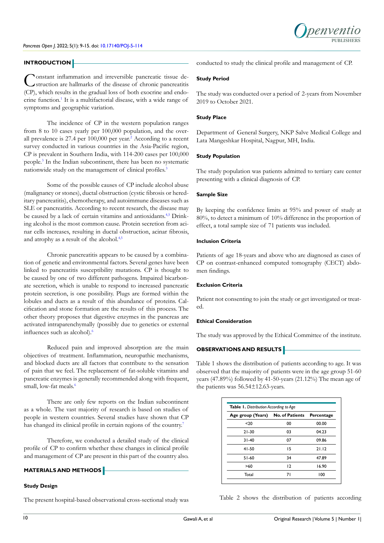

#### **INTRODUCTION**

Constant inflammation and irreversible pancreatic tissue de-<br>struction are hallmarks of the disease of chronic pancreatitis (CP), which results in the gradual loss of both exocrine and endo-crine function.<sup>[1](#page-5-0)</sup> It is a multifactorial disease, with a wide range of symptoms and geographic variation.

The incidence of CP in the western population ranges from 8 to 10 cases yearly per 100,000 population, and the overall prevalence is  $27.4$  per  $100,000$  per year.<sup>2</sup> According to a recent survey conducted in various countries in the Asia-Pacific region, CP is prevalent in Southern India, with 114-200 cases per 100,000 people.[3](#page-5-2) In the Indian subcontinent, there has been no systematic nationwide study on the management of clinical profiles.<sup>[3](#page-5-2)</sup>

Some of the possible causes of CP include alcohol abuse (malignancy or stones), ductal obstruction (cystic fibrosis or hereditary pancreatitis), chemotherapy, and autoimmune diseases such as SLE or pancreatitis. According to recent research, the disease may be caused by a lack of certain vitamins and antioxidants.[4,5](#page-5-3) Drinking alcohol is the most common cause. Protein secretion from acinar cells increases, resulting in ductal obstruction, acinar fibrosis, and atrophy as a result of the alcohol.<sup>4,5</sup>

Chronic pancreatitis appears to be caused by a combination of genetic and environmental factors. Several genes have been linked to pancreatitis susceptibility mutations. CP is thought to be caused by one of two different pathogens. Impaired bicarbonate secretion, which is unable to respond to increased pancreatic protein secretion, is one possibility. Plugs are formed within the lobules and ducts as a result of this abundance of proteins. Calcification and stone formation are the results of this process. The other theory proposes that digestive enzymes in the pancreas are activated intraparenchymally (possibly due to genetics or external influences such as alcohol).<sup>6</sup>

Reduced pain and improved absorption are the main objectives of treatment. Inflammation, neuropathic mechanisms, and blocked ducts are all factors that contribute to the sensation of pain that we feel. The replacement of fat-soluble vitamins and pancreatic enzymes is generally recommended along with frequent, small, low-fat meals.<sup>6</sup>

There are only few reports on the Indian subcontinent as a whole. The vast majority of research is based on studies of people in western countries. Several studies have shown that CP has changed its clinical profile in certain regions of the country.<sup>[7](#page-5-5)</sup>

Therefore, we conducted a detailed study of the clinical profile of CP to confirm whether these changes in clinical profile and management of CP are present in this part of the country also.

# **MATERIALS AND METHODS**

#### **Study Design**

The present hospital-based observational cross-sectional study was

conducted to study the clinical profile and management of CP.

#### **Study Period**

The study was conducted over a period of 2-years from November 2019 to October 2021.

#### **Study Place**

Department of General Surgery, NKP Salve Medical College and Lata Mangeshkar Hospital, Nagpur, MH, India.

#### **Study Population**

The study population was patients admitted to tertiary care center presenting with a clinical diagnosis of CP.

#### **Sample Size**

By keeping the confidence limits at 95% and power of study at 80%, to detect a minimum of 10% difference in the proportion of effect, a total sample size of 71 patients was included.

#### **Inclusion Criteria**

Patients of age 18-years and above who are diagnosed as cases of CP on contrast-enhanced computed tomography (CECT) abdomen findings.

# **Exclusion Criteria**

Patient not consenting to join the study or get investigated or treated.

# **Ethical Consideration**

The study was approved by the Ethical Committee of the institute.

# **OBSERVATIONS AND RESULTS**

Table 1 shows the distribution of patients according to age. It was observed that the majority of patients were in the age group 51-60 years (47.89%) followed by 41-50-years (21.12%) The mean age of the patients was 56.54±12.63-years.

| Age group (Years) | <b>No. of Patients</b> | Percentage |  |
|-------------------|------------------------|------------|--|
|                   |                        |            |  |
| $20$              | 00                     | 00.00      |  |
| $21 - 30$         | 03                     | 04.23      |  |
| $31 - 40$         | 07                     | 09.86      |  |
| $41 - 50$         | 15                     | 21.12      |  |
| $51-60$           | 34                     | 47.89      |  |
| >60               | 12                     | 16.90      |  |
| Total             | 71                     | 100        |  |

Table 2 shows the distribution of patients according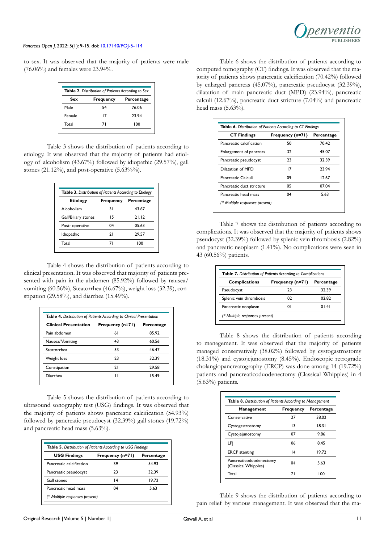to sex. It was observed that the majority of patients were male (76.06%) and females were 23.94%.

|        | <b>Table 2.</b> Distribution of Patients According to Sex |            |
|--------|-----------------------------------------------------------|------------|
| Sex    | <b>Frequency</b>                                          | Percentage |
| Male   | 54                                                        | 76.06      |
| Female | 17                                                        | 2394       |
| Total  | 71                                                        | 100        |

Table 3 shows the distribution of patients according to etiology. It was observed that the majority of patients had etiology of alcoholism (43.67%) followed by idiopathic (29.57%), gall stones  $(21.12\%)$ , and post-operative  $(5.63\%)$ .

| <b>Table 3.</b> Distribution of Patients According to Etiology |                  |            |  |
|----------------------------------------------------------------|------------------|------------|--|
| <b>Etiology</b>                                                | <b>Frequency</b> | Percentage |  |
| Alcoholism                                                     | 31               | 43.67      |  |
| Gall/Biliary stones                                            | 15               | 21.12      |  |
| Post- operative                                                | 04               | 05.63      |  |
| Idiopathic                                                     | 21               | 29.57      |  |
| Total                                                          | 71               | 100        |  |

Table 4 shows the distribution of patients according to clinical presentation. It was observed that majority of patients presented with pain in the abdomen (85.92%) followed by nausea/ vomiting (60.56%), Steatorrhea (46.67%), weight loss (32.39), constipation (29.58%), and diarrhea (15.49%).

| Table 4. Distribution of Patients According to Clinical Presentation |                  |            |  |
|----------------------------------------------------------------------|------------------|------------|--|
| <b>Clinical Presentation</b>                                         | Frequency (n=71) | Percentage |  |
| Pain abdomen                                                         | 61               | 85.92      |  |
| Nausea/Vomiting                                                      | 43               | 60.56      |  |
| Steatorrhea                                                          | 33               | 46.47      |  |
| Weight loss                                                          | 23               | 32.39      |  |
| Constipation                                                         | 21               | 29.58      |  |
| Diarrhea                                                             | п                | 15.49      |  |

Table 5 shows the distribution of patients according to ultrasound sonography test (USG) findings. It was observed that the majority of patients shows pancreatic calcification (54.93%) followed by pancreatic pseudocyst (32.39%) gall stones (19.72%) and pancreatic head mass (5.63%).

| Table 5. Distribution of Patients According to USG Findings |                  |            |  |
|-------------------------------------------------------------|------------------|------------|--|
| <b>USG Findings</b>                                         | Frequency (n=71) | Percentage |  |
| Pancreatic calcification                                    | 39               | 5493       |  |
| Pancreatic pseudocyst                                       | 23               | 32.39      |  |
| Gall stones                                                 | 14               | 1972       |  |
| Pancreatic head mass                                        | 04               | 5.63       |  |
| (* Multiple responses present)                              |                  |            |  |

Table 6 shows the distribution of patients according to computed tomography (CT) findings. It was observed that the majority of patients shows pancreatic calcification (70.42%) followed by enlarged pancreas (45.07%), pancreatic pseudocyst (32.39%), dilatation of main pancreatic duct (MPD) (23.94%), pancreatic calculi (12.67%), pancreatic duct stricture (7.04%) and pancreatic head mass (5.63%).

| <b>CT Findings</b>        | Frequency (n=71) | Percentage |
|---------------------------|------------------|------------|
| Pancreatic calcification  | 50               | 70.42      |
| Enlargement of pancreas   | 32               | 45.07      |
| Pancreatic pseudocyst     | 23               | 32.39      |
| Dilatation of MPD         | 17               | 23.94      |
| Pancreatic Calculi        | 09               | 12.67      |
| Pancreatic duct stricture | 05               | 07.04      |
| Pancreatic head mass      | 04               | 5.63       |

Table 7 shows the distribution of patients according to complications. It was observed that the majority of patients shows pseudocyst (32.39%) followed by splenic vein thrombosis (2.82%) and pancreatic neoplasm (1.41%). No complications were seen in 43 (60.56%) patients.

| <b>Complications</b>    | Frequency (n=71) | <b>Percentage</b> |
|-------------------------|------------------|-------------------|
| Pseudocyst              | 23               | 32.39             |
| Splenic vein thrombosis | 02               | 02.82             |
| Pancreatic neoplasm     | 01               | 0141              |

Table 8 shows the distribution of patients according to management. It was observed that the majority of patients managed conservatively (38.02%) followed by cystogastrostomy (18.31%) and cystojejunostomy (8.45%). Endoscopic retrograde cholangiopancreatography (ERCP) was done among 14 (19.72%) patients and pancreaticoduodenectomy (Classical Whipples) in 4 (5.63%) patients.

| <b>Management</b>                               | <b>Frequency</b> | Percentage |
|-------------------------------------------------|------------------|------------|
| Conservative                                    | 27               | 38.02      |
| Cystogastrostomy                                | 13               | 1831       |
| Cystojejunostomy                                | 07               | 9.86       |
| LPI                                             | 06               | 8.45       |
| <b>ERCP</b> stenting                            | $\overline{14}$  | 1972       |
| Pancreaticoduodenectomy<br>(Classical Whipples) | 04               | 5.63       |
| Total                                           | 71               | 100        |

Table 9 shows the distribution of patients according to pain relief by various management. It was observed that the ma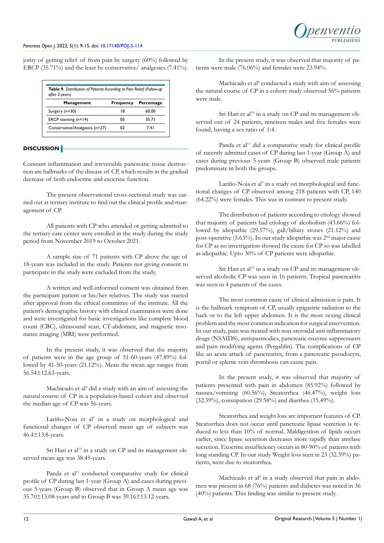jority of getting relief of from pain by surgery (60%) followed by ERCP (35.71%) and the least by conservative/ analgesics (7.41%).

| <b>Table 9.</b> Distribution of Patients According to Pain Relief: (Follow-up)<br>after 2-years) |                  |            |
|--------------------------------------------------------------------------------------------------|------------------|------------|
| <b>Management</b>                                                                                | <b>Frequency</b> | Percentage |
| Surgery (n=30)                                                                                   | 18               | 60.00      |
| ERCP stenting $(n=14)$                                                                           | 05               | 35 Z I     |
| Conservative/Analgesics (n=27)                                                                   | N)               | 74 I       |

# **DISCUSSION**

Constant inflammation and irreversible pancreatic tissue destruction are hallmarks of the disease of CP, which results in the gradual decrease of both endocrine and exocrine function.

The present observational cross-sectional study was carried out at tertiary institute to find out the clinical profile and management of CP.

All patients with CP who attended or getting admitted to the tertiary care center were enrolled in the study during the study period from November 2019 to October 2021.

A sample size of 71 patients with CP above the age of 18-years was included in the study. Patients not giving consent to participate in the study were excluded from the study.

A written and well-informed consent was obtained from the participant patient or his/her relatives. The study was started after approval from the ethical committee of the institute. All the patient's demographic history with clinical examination were done and were investigated for basic investigations like complete blood count (CBC), ultrasound scan, CT-abdomen, and magnetic resonance imaging (MRI) were performed.

In the present study, it was observed that the majority of patients were in the age group of 51-60-years (47.89%) followed by 41-50-years (21.12%). Mean the mean age ranges from 56.54±12.63-years.

Machicado et al<sup>[8](#page-5-6)</sup> did a study with an aim of assessing the natural course of CP in a population-based cohort and observed the median age of CP was 56-years.

Lariño-Noia et al<sup>9</sup> in a study on morphological and functional changes of CP observed mean age of subjects was 46.4±13.8-years.

Sri Hari et al<sup>10</sup> in a study on CP and its management observed mean age was 38.45-years.

Panda et al<sup>[11](#page-6-1)</sup> conducted comparative study for clinical profile of CP during last 1-year (Group A) and cases during previous 5-years (Group B) observed that in Group A mean age was 35.70±13.08-years and in Group B was 39.16±13.12-years.

In the present study, it was observed that majority of patients were male (76.06%) and females were 23.94%.

Machicado et al<sup>[8](#page-5-6)</sup> conducted a study with aim of assessing the natural course of CP in a cohort study observed 56% patients were male.

Sri Hari et al<sup>[10](#page-6-0)</sup> in a study on CP and its management observed out of 24 patients, nineteen males and five females were found, having a sex ratio of 1:4.

Panda et al<sup>11</sup> did a comparative study for clinical profile of recently admitted cases of CP during last 1-year (Group A) and cases during previous 5-years (Group B) observed male patients predominate in both the groups.

Lariño-Noia et al<sup>[9](#page-5-7)</sup> in a study on morphological and functional changes of CP observed among 218 patients with CP, 140 (64.22%) were females. This was in contrast to present study.

The distribution of patients according to etiology showed that majority of patients had etiology of alcoholism (43.66%) followed by idiopathic (29.57%), gall/biliary stones (21.12%) and post-operative (5.63%). In our study idiopathic was 2nd major cause for CP as no investigation showed the cause for CP so was labelled as idiopathic. Upto 30% of CP patients were idiopathic.

Sri Hari et al<sup>[10](#page-6-0)</sup> in a study on CP and its management observed alcoholic CP was seen in 16 patients. Tropical pancreatitis was seen in 4 patients of the cases.

The most common cause of clinical admission is pain. It is the hallmark symptom of CP, usually epigastric radiation to the back or to the left upper abdomen. It is the most vexing clinical problem and the most common indication for surgical intervention. In our study, pain was treated with non-steroidal anti-inflammatory drugs (NSAIDS), antispasmodics, pancreatic enzyme suppressants and pain modifying agents (Pergablin). The complications of CP like an acute attack of pancreatitis, from a pancreatic pseudocyst, portal or splenic vein thrombosis can cause pain.

In the present study, it was observed that majority of patients presented with pain in abdomen (85.92%) followed by nausea/vomiting (60.56%), Steatorrhea (46.47%), weight loss (32.39%), constipation (29.58%) and diarrhea (15.49%).

Steatorrhea and weight loss are important features of CP. Steatorrhea does not occur until pancreatic lipase secretion is reduced to less than 10% of normal. Maldigestion of lipids occurs earlier, since lipase secretion decreases more rapidly than amylase secretion. Exocrine insufficiency occurs in 80-90% of patients with long standing CP. In our study Weight loss seen in 23 (32.39%) patients, were due to steatorrhea.

Machicado et al<sup>[8](#page-5-6)</sup> in a study observed that pain in abdomen was present in 68 (76%) patients and diabetes was noted in 36 (40%) patients. This finding was similar to present study.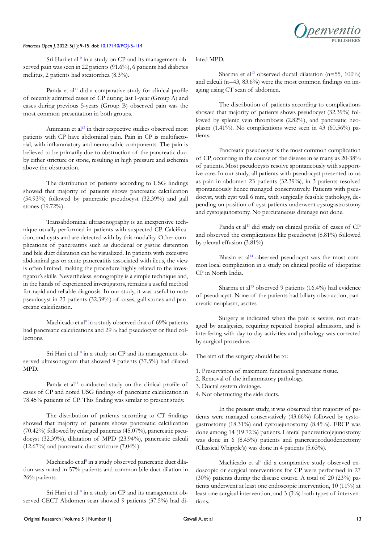Sri Hari et al<sup>10</sup> in a study on CP and its management observed pain was seen in 22 patients (91.6%), 6 patients had diabetes mellitus, 2 patients had steatorrhea (8.3%).

Panda et al<sup>11</sup> did a comparative study for clinical profile of recently admitted cases of CP during last 1-year (Group A) and cases during previous 5-years (Group B) observed pain was the most common presentation in both groups.

Ammann et al<sup>[12](#page-6-2)</sup> in their respective studies observed most patients with CP have abdominal pain. Pain in CP is multifactorial, with inflammatory and neuropathic components. The pain is believed to be primarily due to obstruction of the pancreatic duct by either stricture or stone, resulting in high pressure and ischemia above the obstruction.

The distribution of patients according to USG findings showed that majority of patients shows pancreatic calcification (54.93%) followed by pancreatic pseudocyst (32.39%) and gall stones (19.72%).

Transabdominal ultrasonography is an inexpensive technique usually performed in patients with suspected CP. Calcification, and cysts and are detected with by this modality. Other complications of pancreatitis such as duodenal or gastric distention and bile duct dilatation can be visualized. In patients with excessive abdominal gas or acute pancreatitis associated with ileus, the view is often limited, making the procedure highly related to the investigator's skills. Nevertheless, sonography is a simple technique and, in the hands of experienced investigators, remains a useful method for rapid and reliable diagnosis. In our study, it was useful to note pseudocyst in 23 patients (32.39%) of cases, gall stones and pancreatic calcification.

Machicado et al<sup>[8](#page-5-6)</sup> in a study observed that of 69% patients had pancreatic calcifications and 29% had pseudocyst or fluid collections.

Sri Hari et al<sup>10</sup> in a study on CP and its management observed ultrasonogram that showed 9 patients (37.5%) had dilated MPD.

Panda et al<sup>11</sup> conducted study on the clinical profile of cases of CP and noted USG findings of pancreatic calcification in 78.45% patients of CP. This finding was similar to present study.

The distribution of patients according to CT findings showed that majority of patients shows pancreatic calcification (70.42%) followed by enlarged pancreas (45.07%), pancreatic pseudocyst (32.39%), dilatation of MPD (23.94%), pancreatic calculi (12.67%) and pancreatic duct stricture (7.04%).

Machicado et al<sup>8</sup> in a study observed pancreatic duct dilation was noted in 57% patients and common bile duct dilation in 26% patients.

Sri Hari et al<sup>10</sup> in a study on CP and its management observed CECT Abdomen scan showed 9 patients (37.5%) had di-

# lated MPD.

**PUBLISHERS**

penventic

The distribution of patients according to complications showed that majority of patients shows pseudocyst (32.39%) followed by splenic vein thrombosis (2.82%), and pancreatic neoplasm (1.41%). No complications were seen in 43 (60.56%) patients.

Pancreatic pseudocyst is the most common complication of CP, occurring in the course of the disease in as many as 20-38% of patients. Most pseudocysts resolve spontaneously with supportive care. In our study, all patients with pseudocyst presented to us as pain in abdomen 23 patients (32.39%), in 3 patients resolved spontaneously hence managed conservatively. Patients with pseudocyst, with cyst wall 6 mm, with surgically feasible pathology, depending on position of cyst patients underwent cystogastrostomy and cystojejunostomy. No percutaneous drainage not done.

Panda et al<sup>11</sup> did study on clinical profile of cases of CP and observed the complications like pseudocyst (8.81%) followed by pleural effusion (3.81%).

Bhasin et al<sup>[14](#page-6-4)</sup> observed pseudocyst was the most common local complication in a study on clinical profile of idiopathic CP in North India.

Sharma et al<sup>13</sup> observed 9 patients  $(16.4\%)$  had evidence of pseudocyst. None of the patients had biliary obstruction, pancreatic neoplasm, ascites.

Surgery is indicated when the pain is severe, not managed by analgesics, requiring repeated hospital admission, and is interfering with day-to-day activities and pathology was corrected by surgical procedure.

The aim of the surgery should be to:

- 1. Preservation of maximum functional pancreatic tissue.
- 2. Removal of the inflammatory pathology.
- 3. Ductal system drainage.
- 4. Not obstructing the side ducts.

In the present study, it was observed that majority of patients were managed conservatively (43.66%) followed by cystogastrostomy (18.31%) and cystojejunostomy (8.45%). ERCP was done among 14 (19.72%) patients. Lateral pancreaticojejunostomy was done in 6 (8.45%) patients and pancreaticoduodenectomy (Classical Whipple's) was done in 4 patients (5.63%).

Machicado et al<sup>[8](#page-5-6)</sup> did a comparative study observed endoscopic or surgical interventions for CP were performed in 27 (30%) patients during the disease course. A total of 20 (23%) patients underwent at least one endoscopic intervention, 10 (11%) at least one surgical intervention, and 3 (3%) both types of interventions.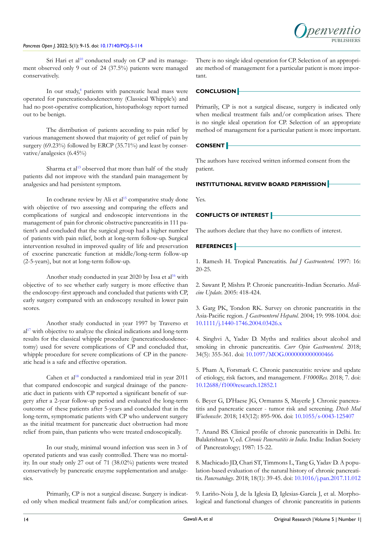

Sri Hari et al<sup>10</sup> conducted study on CP and its management observed only 9 out of 24 (37.5%) patients were managed conservatively.

In our study,<sup>[4](#page-5-3)</sup> patients with pancreatic head mass were operated for pancreaticoduodenectomy (Classical Whipple's) and had no post-operative complication, histopathology report turned out to be benign.

The distribution of patients according to pain relief by various management showed that majority of get relief of pain by surgery (69.23%) followed by ERCP (35.71%) and least by conservative/analgesics (6.45%)

Sharma et al<sup>[13](#page-6-3)</sup> observed that more than half of the study patients did not improve with the standard pain management by analgesics and had persistent symptom.

In cochrane review by Ali et al<sup>[15](#page-6-5)</sup> comparative study done with objective of two assessing and comparing the effects and complications of surgical and endoscopic interventions in the management of pain for chronic obstructive pancreatitis in 111 patient's and concluded that the surgical group had a higher number of patients with pain relief, both at long-term follow-up. Surgical intervention resulted in improved quality of life and preservation of exocrine pancreatic function at middle/long-term follow-up (2-5-years), but not at long-term follow-up.

Another study conducted in year 2020 by Issa et al<sup>[16](#page-6-6)</sup> with objective of to see whether early surgery is more effective than the endoscopy-first approach and concluded that patients with CP, early surgery compared with an endoscopy resulted in lower pain scores.

Another study conducted in year 1997 by Traverso et  $al<sup>17</sup>$  with objective to analyze the clinical indications and long-term results for the classical whipple procedure (pancreaticoduodenectomy) used for severe complications of CP and concluded that, whipple procedure for severe complications of CP in the pancreatic head is a safe and effective operation.

Cahen et al<sup>[18](#page-6-8)</sup> conducted a randomized trial in year 2011 that compared endoscopic and surgical drainage of the pancreatic duct in patients with CP reported a significant benefit of surgery after a 2-year follow-up period and evaluated the long-term outcome of these patients after 5-years and concluded that in the long-term, symptomatic patients with CP who underwent surgery as the initial treatment for pancreatic duct obstruction had more relief from pain, than patients who were treated endoscopically.

In our study, minimal wound infection was seen in 3 of operated patients and was easily controlled. There was no mortality. In our study only 27 out of 71 (38.02%) patients were treated conservatively by pancreatic enzyme supplementation and analgesics.

Primarily, CP is not a surgical disease. Surgery is indicated only when medical treatment fails and/or complication arises. There is no single ideal operation for CP. Selection of an appropriate method of management for a particular patient is more important.

## **CONCLUSION**

Primarily, CP is not a surgical disease, surgery is indicated only when medical treatment fails and/or complication arises. There is no single ideal operation for CP. Selection of an appropriate method of management for a particular patient is more important.

# **CONSENT**

The authors have received written informed consent from the patient.

# **INSTITUTIONAL REVIEW BOARD PERMISSION**

Yes.

## **CONFLICTS OF INTEREST**

The authors declare that they have no conflicts of interest.

#### **REFERENCES**

<span id="page-5-0"></span>1. Ramesh H. Tropical Pancreatitis. *Ind J Gastroenterol.* 1997: 16: 20-25.

<span id="page-5-1"></span>2. Sawant P, Mishra P. Chronic pancreatitis-Indian Scenario. *Medicine Update.* 2005: 418-424.

<span id="page-5-2"></span>3. Garg PK, Tondon RK. Survey on chronic pancreatitis in the Asia-Pacific region. *J Gastroenterol Hepatol.* 2004; 19: 998-1004. doi: [10.1111/j.1440-1746.2004.03426.x](http://doi.org/10.1111/j.1440-1746.2004.03426.x)

<span id="page-5-3"></span>4. Singhvi A, Yadav D. Myths and realities about alcohol and smoking in chronic pancreatitis. *Curr Opin Gastroenterol*. 2018; 34(5): 355-361. doi: [10.1097/MOG.0000000000000466](http://doi.org/10.1097/MOG.0000000000000466)

5. Pham A, Forsmark C. Chronic pancreatitis: review and update of etiology, risk factors, and management. *F1000Res.* 2018; 7. doi: [10.12688/f1000research.12852.1](http://doi.org/10.12688/f1000research.12852.1)

<span id="page-5-4"></span>6. Beyer G, D'Haese JG, Ormanns S, Mayerle J. Chronic pancreatitis and pancreatic cancer - tumor risk and screening. *Dtsch Med Wochenschr*. 2018; 143(12): 895-906. doi: [10.1055/s-0043-125407](http://doi.org/10.1055/s-0043-125407)

<span id="page-5-5"></span>7. Anand BS. Clinical profile of chronic pancreatitis in Delhi. In: Balakrishnan V, ed. *Chronic Pancreatitis in India*. India: Indian Society of Pancreatology; 1987: 15-22.

<span id="page-5-6"></span>8. Machicado JD, Chari ST, Timmons L, Tang G, Yadav D. A population-based evaluation of the natural history of chronic pancreatitis. *Pancreatology*. 2018; 18(1): 39-45. doi: [10.1016/j.pan.2017.11.012](http://doi.org/10.1016/j.pan.2017.11.012)

<span id="page-5-7"></span>9. Lariño-Noia J, de la Iglesia D, Iglesias-García J, et al. Morphological and functional changes of chronic pancreatitis in patients